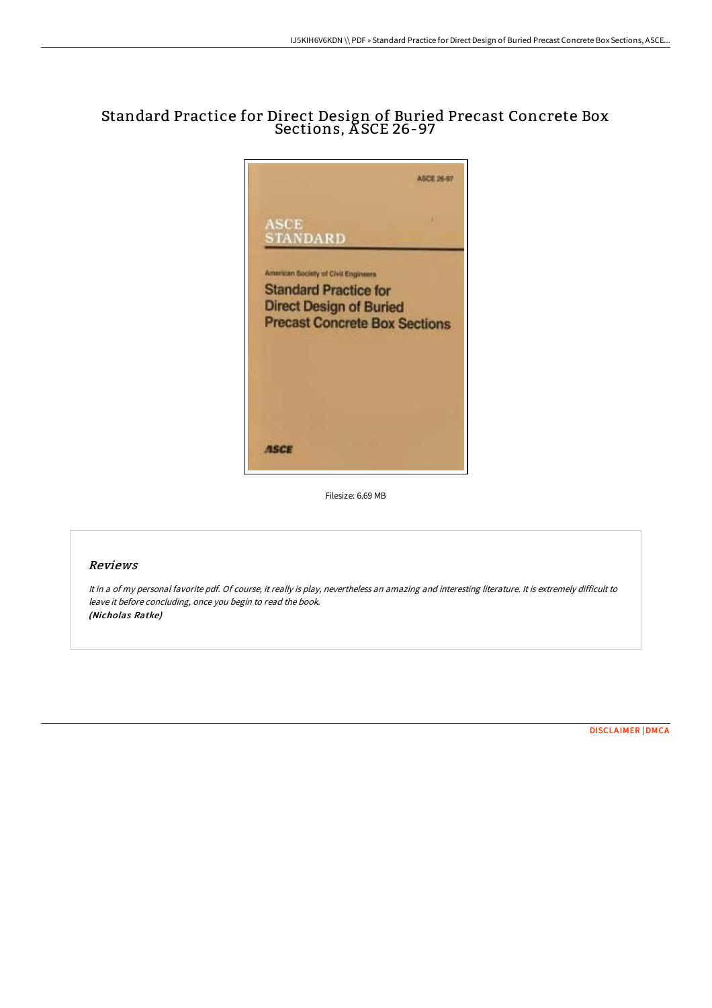## Standard Practice for Direct Design of Buried Precast Concrete Box Sections, A SCE 26-97



Filesize: 6.69 MB

## Reviews

It in <sup>a</sup> of my personal favorite pdf. Of course, it really is play, nevertheless an amazing and interesting literature. It is extremely difficult to leave it before concluding, once you begin to read the book. (Nicholas Ratke)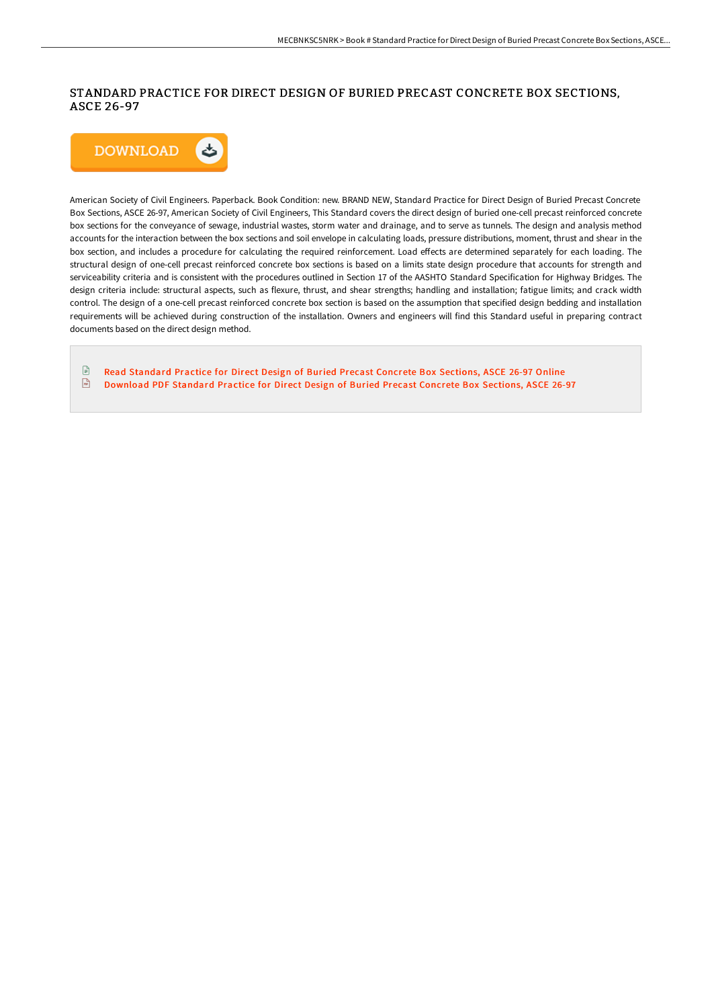## STANDARD PRACTICE FOR DIRECT DESIGN OF BURIED PRECAST CONCRETE BOX SECTIONS, ASCE 26-97



American Society of Civil Engineers. Paperback. Book Condition: new. BRAND NEW, Standard Practice for Direct Design of Buried Precast Concrete Box Sections, ASCE 26-97, American Society of Civil Engineers, This Standard covers the direct design of buried one-cell precast reinforced concrete box sections for the conveyance of sewage, industrial wastes, storm water and drainage, and to serve as tunnels. The design and analysis method accounts for the interaction between the box sections and soil envelope in calculating loads, pressure distributions, moment, thrust and shear in the box section, and includes a procedure for calculating the required reinforcement. Load effects are determined separately for each loading. The structural design of one-cell precast reinforced concrete box sections is based on a limits state design procedure that accounts for strength and serviceability criteria and is consistent with the procedures outlined in Section 17 of the AASHTO Standard Specification for Highway Bridges. The design criteria include: structural aspects, such as flexure, thrust, and shear strengths; handling and installation; fatigue limits; and crack width control. The design of a one-cell precast reinforced concrete box section is based on the assumption that specified design bedding and installation requirements will be achieved during construction of the installation. Owners and engineers will find this Standard useful in preparing contract documents based on the direct design method.

 $\mathbb{R}$ Read [Standard](http://techno-pub.tech/standard-practice-for-direct-design-of-buried-pr-1.html) Practice for Direct Design of Buried Precast Concrete Box Sections, ASCE 26-97 Online  $\sqrt{m}$ [Download](http://techno-pub.tech/standard-practice-for-direct-design-of-buried-pr-1.html) PDF Standard Practice for Direct Design of Buried Precast Concrete Box Sections, ASCE 26-97